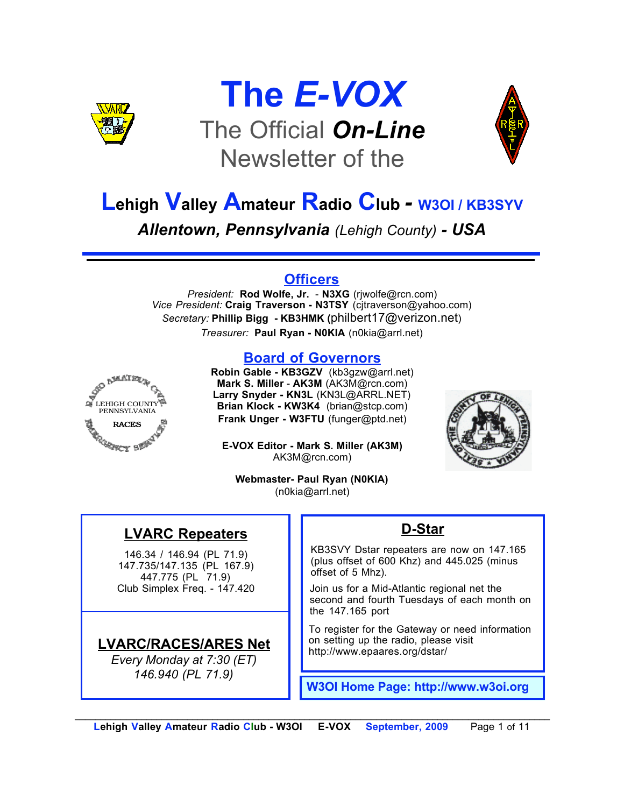

## **The** *E-VOX* The Official *On-Line* Newsletter of the



## **Lehigh Valley Amateur Radio Club** *-* **W3OI / KB3SYV**

*Allentown, Pennsylvania (Lehigh County) - USA*

#### **Officers**

*President:* **Rod Wolfe, Jr.** - **N3XG** (rjwolfe@rcn.com) *Vice President:* **Craig Traverson - N3TSY** (cjtraverson@yahoo.com) *Secretary:* **Phillip Bigg - KB3HMK (**philbert17@verizon.net) *Treasurer:* **Paul Ryan - N0KIA** (n0kia@arrl.net)

#### **Board of Governors**



**Robin Gable - KB3GZV** (kb3gzw@arrl.net) **Mark S. Miller** - **AK3M** (AK3M@rcn.com) **Larry Snyder - KN3L** (KN3L@ARRL.NET) **Brian Klock - KW3K4** (brian@stcp.com) **Frank Unger - W3FTU** (funger@ptd.net)

**E-VOX Editor - Mark S. Miller (AK3M)** AK3M@rcn.com)



**Webmaster- Paul Ryan (N0KIA)** (n0kia@arrl.net)

### **LVARC Repeaters**

146.34 / 146.94 (PL 71.9) 147.735/147.135 (PL 167.9) 447.775 (PL 71.9) Club Simplex Freq. - 147.420

#### **LVARC/RACES/ARES Net**

*Every Monday at 7:30 (ET) 146.940 (PL 71.9)*

#### **D-Star**

KB3SVY Dstar repeaters are now on 147.165 (plus offset of 600 Khz) and 445.025 (minus offset of 5 Mhz).

Join us for a Mid-Atlantic regional net the second and fourth Tuesdays of each month on the 147.165 port

To register for the Gateway or need information on setting up the radio, please visit http://www.epaares.org/dstar/

**W3OI Home Page: http://www.w3oi.org**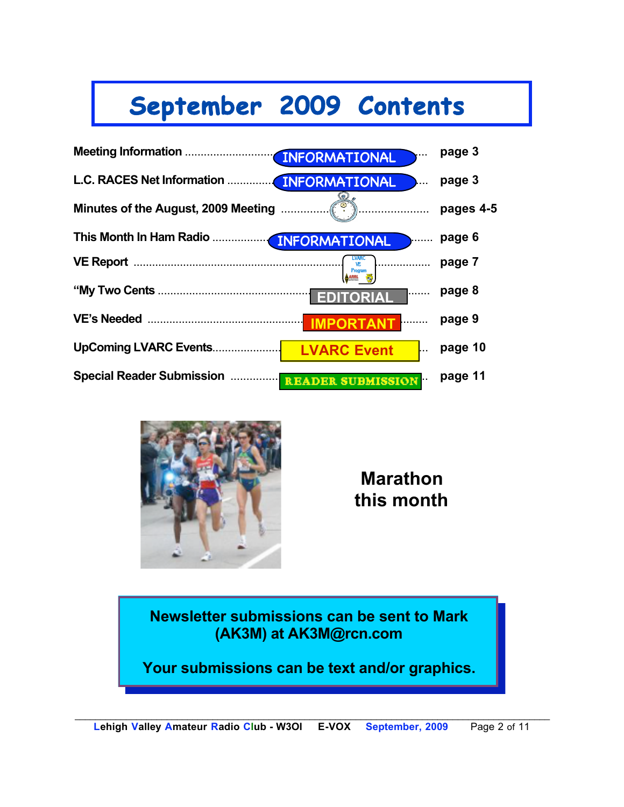# **September 2009 Contents**





**Marathon this month**

**Newsletter submissions can be sent to Mark (AK3M) at AK3M@rcn.com**

**Your submissions can be text and/or graphics.**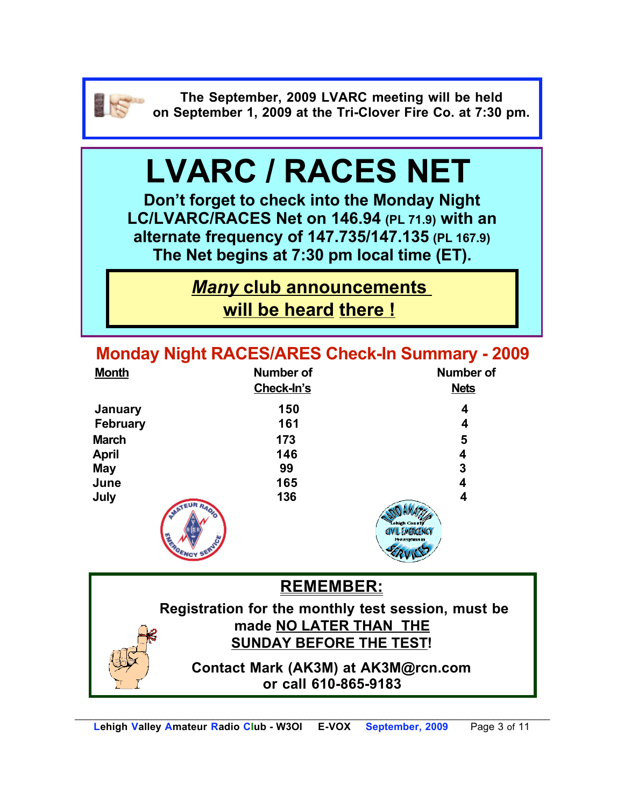![](_page_2_Picture_0.jpeg)

**The September, 2009 LVARC meeting will be held on September 1, 2009 at the Tri-Clover Fire Co. at 7:30 pm.**

# **LVARC / RACES NET**

**Don't forget to check into the Monday Night LC/LVARC/RACES Net on 146.94 (PL 71.9) with an alternate frequency of 147.735/147.135 (PL 167.9) The Net begins at 7:30 pm local time (ET).** 

> *Many* **club announcements will be heard there !**

**Monday Night RACES/ARES Check-In Summary - 2009**

| <b>Month</b>    | <b>Number of</b>     | <b>Number of</b>                                        |
|-----------------|----------------------|---------------------------------------------------------|
|                 | Check-In's           | <b>Nets</b>                                             |
| January         | 150                  | 4                                                       |
| <b>February</b> | 161                  | 4                                                       |
| <b>March</b>    | 173                  | 5                                                       |
| <b>April</b>    | 146                  | 4                                                       |
| <b>May</b>      | 99                   | 3                                                       |
| June            | 165                  | 4                                                       |
| July            | 136                  | 4                                                       |
|                 | MATEUR RADIO<br>ENCY | Lehigh County<br><b>CIVIL EMERGENCY</b><br>Pennsylvania |

**REMEMBER: Registration for the monthly test session, must be made NO LATER THAN THE SUNDAY BEFORE THE TEST! Contact Mark (AK3M) at AK3M@rcn.com or call 610-865-9183**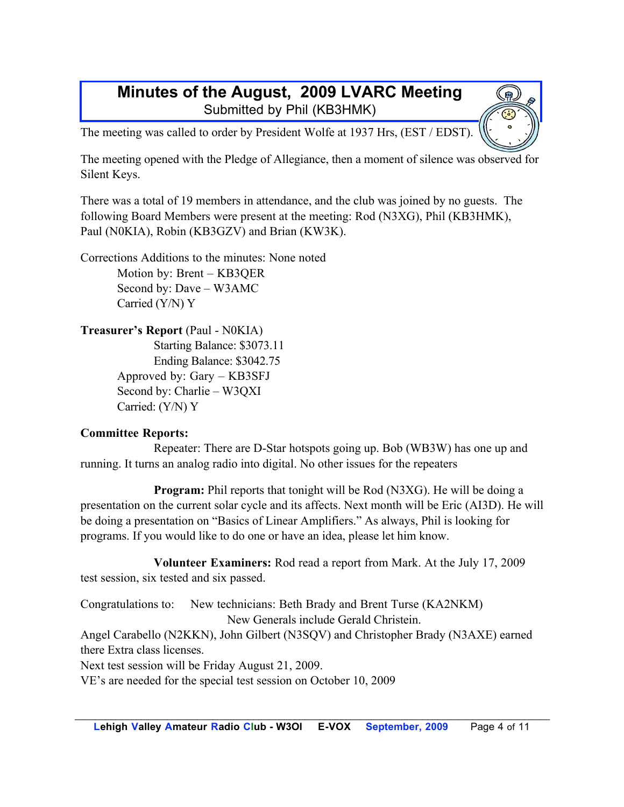#### **Minutes of the August, 2009 LVARC Meeting** Submitted by Phil (KB3HMK)

The meeting was called to order by President Wolfe at 1937 Hrs, (EST / EDST).

The meeting opened with the Pledge of Allegiance, then a moment of silence was observed for Silent Keys.

There was a total of 19 members in attendance, and the club was joined by no guests. The following Board Members were present at the meeting: Rod (N3XG), Phil (KB3HMK), Paul (N0KIA), Robin (KB3GZV) and Brian (KW3K).

Corrections Additions to the minutes: None noted Motion by: Brent – KB3QER Second by: Dave – W3AMC Carried (Y/N) Y

#### **Treasurer's Report** (Paul - N0KIA)

Starting Balance: \$3073.11 Ending Balance: \$3042.75 Approved by: Gary – KB3SFJ Second by: Charlie – W3QXI Carried: (Y/N) Y

#### **Committee Reports:**

Repeater: There are D-Star hotspots going up. Bob (WB3W) has one up and running. It turns an analog radio into digital. No other issues for the repeaters

**Program:** Phil reports that tonight will be Rod (N3XG). He will be doing a presentation on the current solar cycle and its affects. Next month will be Eric (AI3D). He will be doing a presentation on "Basics of Linear Amplifiers." As always, Phil is looking for programs. If you would like to do one or have an idea, please let him know.

**Volunteer Examiners:** Rod read a report from Mark. At the July 17, 2009 test session, six tested and six passed.

Congratulations to: New technicians: Beth Brady and Brent Turse (KA2NKM) New Generals include Gerald Christein.

Angel Carabello (N2KKN), John Gilbert (N3SQV) and Christopher Brady (N3AXE) earned there Extra class licenses.

Next test session will be Friday August 21, 2009.

VE's are needed for the special test session on October 10, 2009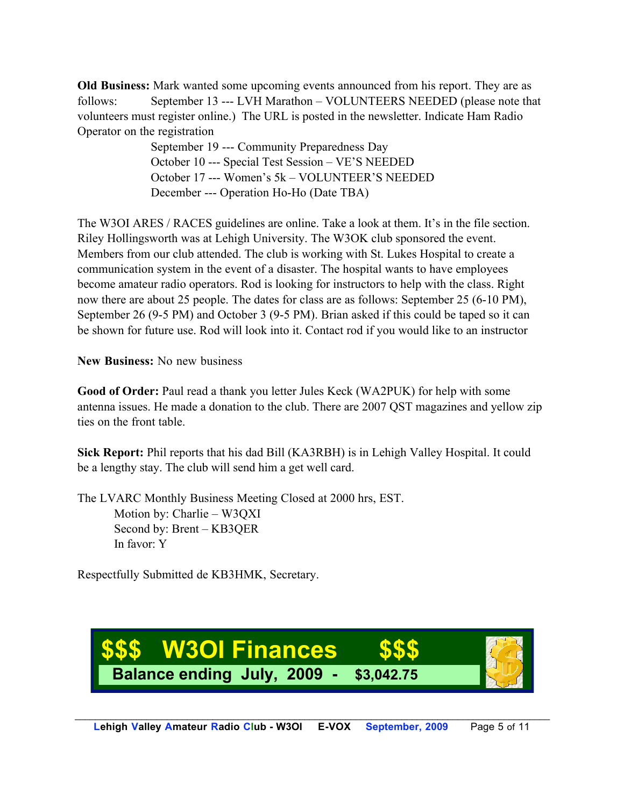**Old Business:** Mark wanted some upcoming events announced from his report. They are as follows: September 13 --- LVH Marathon – VOLUNTEERS NEEDED (please note that volunteers must register online.) The URL is posted in the newsletter. Indicate Ham Radio Operator on the registration

> September 19 --- Community Preparedness Day October 10 --- Special Test Session – VE'S NEEDED October 17 --- Women's 5k – VOLUNTEER'S NEEDED December --- Operation Ho-Ho (Date TBA)

The W3OI ARES / RACES guidelines are online. Take a look at them. It's in the file section. Riley Hollingsworth was at Lehigh University. The W3OK club sponsored the event. Members from our club attended. The club is working with St. Lukes Hospital to create a communication system in the event of a disaster. The hospital wants to have employees become amateur radio operators. Rod is looking for instructors to help with the class. Right now there are about 25 people. The dates for class are as follows: September 25 (6-10 PM), September 26 (9-5 PM) and October 3 (9-5 PM). Brian asked if this could be taped so it can be shown for future use. Rod will look into it. Contact rod if you would like to an instructor

**New Business:** No new business

Good of Order: Paul read a thank you letter Jules Keck (WA2PUK) for help with some antenna issues. He made a donation to the club. There are 2007 QST magazines and yellow zip ties on the front table.

**Sick Report:** Phil reports that his dad Bill (KA3RBH) is in Lehigh Valley Hospital. It could be a lengthy stay. The club will send him a get well card.

The LVARC Monthly Business Meeting Closed at 2000 hrs, EST. Motion by: Charlie – W3QXI Second by: Brent – KB3QER In favor: Y

Respectfully Submitted de KB3HMK, Secretary.

![](_page_4_Picture_8.jpeg)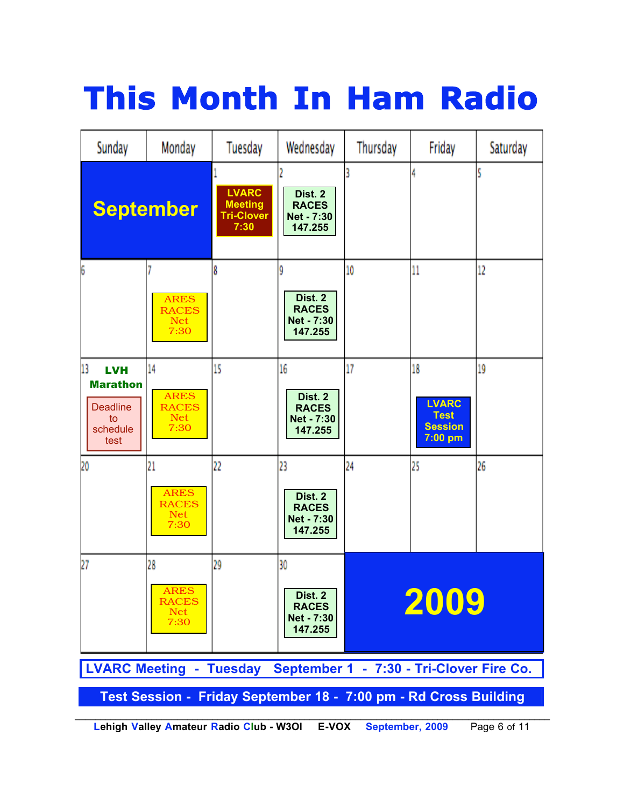# **This Month In Ham Radio**

![](_page_5_Figure_1.jpeg)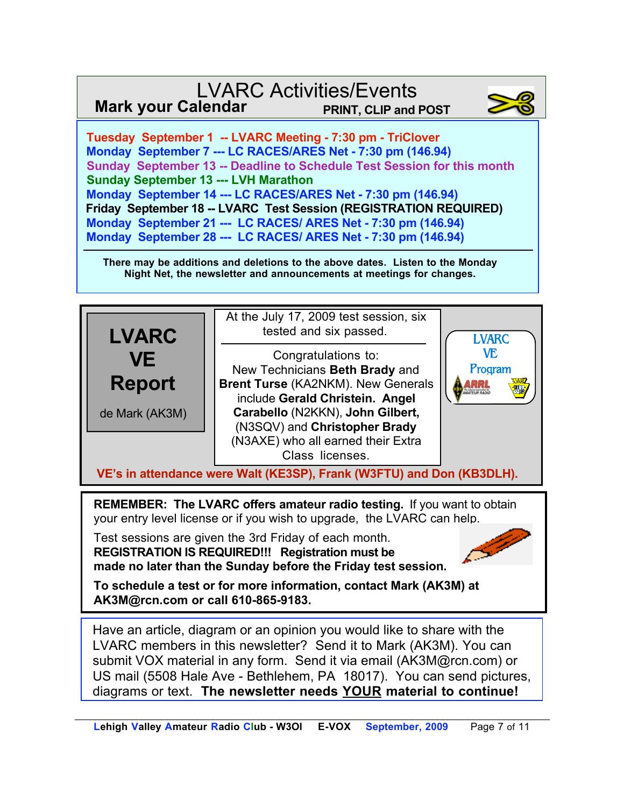### LVARC Activities/Events **Mark your Calendar**

![](_page_6_Picture_1.jpeg)

 **Tuesday September 1 -- LVARC Meeting - 7:30 pm - TriClover Monday September 7 --- LC RACES/ARES Net - 7:30 pm (146.94) Sunday September 13 -- Deadline to Schedule Test Session for this month Sunday September 13 --- LVH Marathon Monday September 14 --- LC RACES/ARES Net - 7:30 pm (146.94) Friday September 18 -- LVARC Test Session (REGISTRATION REQUIRED) Monday September 21 --- LC RACES/ ARES Net - 7:30 pm (146.94) Monday September 28 --- LC RACES/ ARES Net - 7:30 pm (146.94)**

**There may be additions and deletions to the above dates. Listen to the Monday Night Net, the newsletter and announcements at meetings for changes.**

![](_page_6_Figure_4.jpeg)

**REMEMBER: The LVARC offers amateur radio testing.** If you want to obtain your entry level license or if you wish to upgrade, the LVARC can help.

Test sessions are given the 3rd Friday of each month. **REGISTRATION IS REQUIRED!!! Registration must be made no later than the Sunday before the Friday test session.**

**To schedule a test or for more information, contact Mark (AK3M) at AK3M@rcn.com or call 610-865-9183.**

Have an article, diagram or an opinion you would like to share with the LVARC members in this newsletter? Send it to Mark (AK3M). You can submit VOX material in any form. Send it via email (AK3M@rcn.com) or US mail (5508 Hale Ave - Bethlehem, PA 18017). You can send pictures, diagrams or text. **The newsletter needs YOUR material to continue!**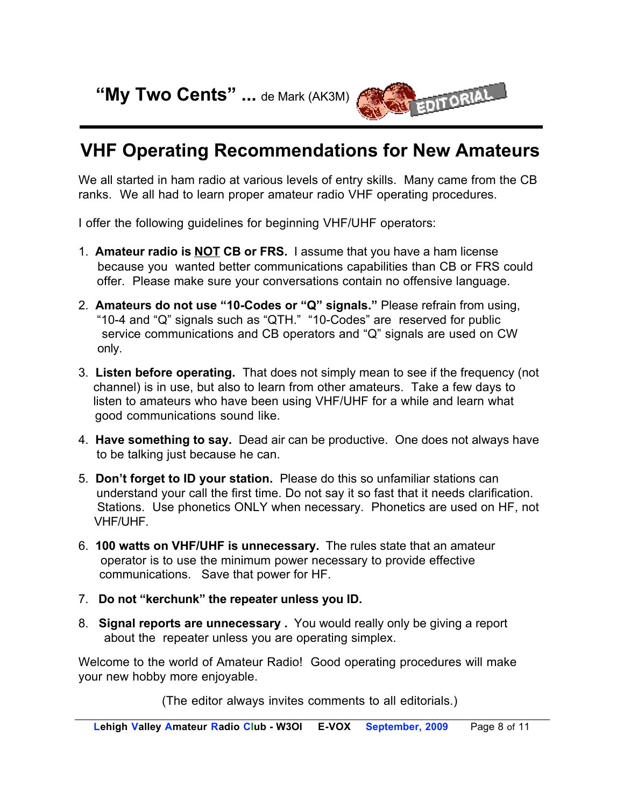**"My Two Cents" ...** de Mark (AK3M)

![](_page_7_Picture_1.jpeg)

## **VHF Operating Recommendations for New Amateurs**

We all started in ham radio at various levels of entry skills. Many came from the CB ranks. We all had to learn proper amateur radio VHF operating procedures.

I offer the following guidelines for beginning VHF/UHF operators:

- 1. **Amateur radio is NOT CB or FRS.** I assume that you have a ham license because you wanted better communications capabilities than CB or FRS could offer. Please make sure your conversations contain no offensive language.
- 2. **Amateurs do not use "10-Codes or "Q" signals."** Please refrain from using, "10-4 and "Q" signals such as "QTH." "10-Codes" are reserved for public service communications and CB operators and "Q" signals are used on CW only.
- 3. **Listen before operating.** That does not simply mean to see if the frequency (not channel) is in use, but also to learn from other amateurs. Take a few days to listen to amateurs who have been using VHF/UHF for a while and learn what good communications sound like.
- 4. **Have something to say.** Dead air can be productive. One does not always have to be talking just because he can.
- 5. **Don't forget to ID your station.** Please do this so unfamiliar stations can understand your call the first time. Do not say it so fast that it needs clarification. Stations. Use phonetics ONLY when necessary. Phonetics are used on HF, not VHF/UHF.
- 6. **100 watts on VHF/UHF is unnecessary.** The rules state that an amateur operator is to use the minimum power necessary to provide effective communications. Save that power for HF.
- 7. **Do not "kerchunk" the repeater unless you ID.**
- 8. **Signal reports are unnecessary .** You would really only be giving a report about the repeater unless you are operating simplex.

Welcome to the world of Amateur Radio! Good operating procedures will make your new hobby more enjoyable.

(The editor always invites comments to all editorials.)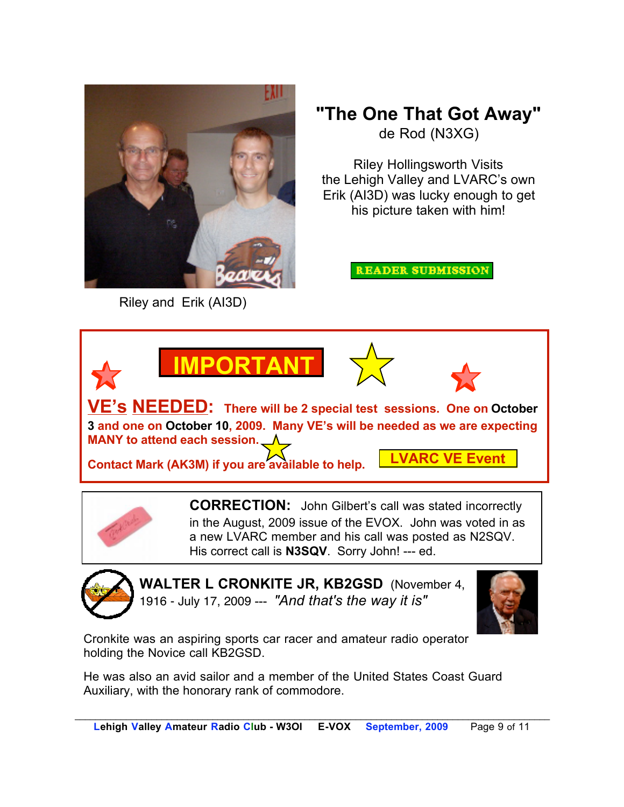![](_page_8_Picture_0.jpeg)

Riley and Erik (AI3D)

## **"The One That Got Away"** de Rod (N3XG)

Riley Hollingsworth Visits the Lehigh Valley and LVARC's own Erik (AI3D) was lucky enough to get his picture taken with him!

**READER SUBMISSION** 

![](_page_8_Picture_5.jpeg)

**CORRECTION:** John Gilbert's call was stated incorrectly in the August, 2009 issue of the EVOX. John was voted in as a new LVARC member and his call was posted as N2SQV. His correct call is **N3SQV**. Sorry John! --- ed.

![](_page_8_Picture_8.jpeg)

**WALTER L CRONKITE JR, KB2GSD** (November 4, 1916 - July 17, 2009 --- *"And that's the way it is"*

![](_page_8_Picture_10.jpeg)

Cronkite was an aspiring sports car racer and amateur radio operator holding the Novice call KB2GSD.

He was also an avid sailor and a member of the United States Coast Guard Auxiliary, with the honorary rank of commodore.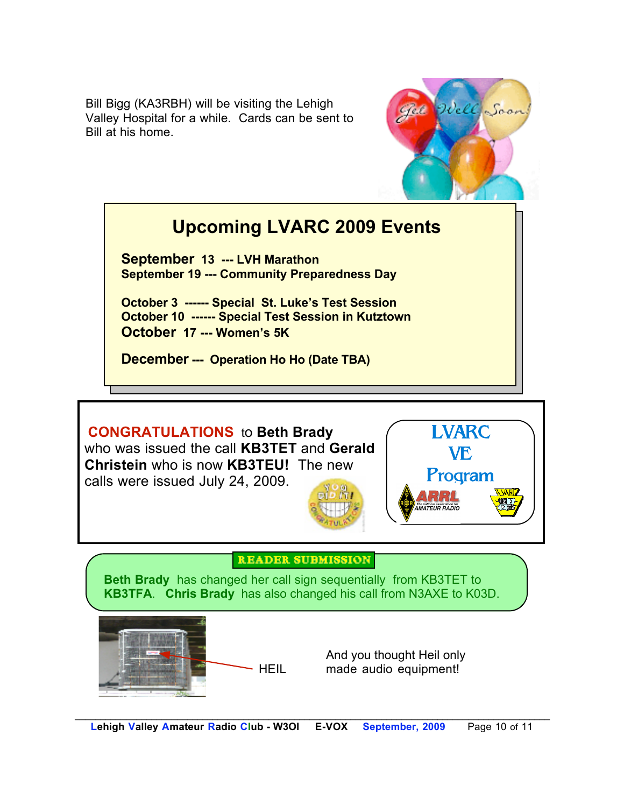Bill Bigg (KA3RBH) will be visiting the Lehigh Valley Hospital for a while. Cards can be sent to Bill at his home.

![](_page_9_Picture_1.jpeg)

## **Upcoming LVARC 2009 Events**

**September 13 --- LVH Marathon September 19 --- Community Preparedness Day**

**October 3 ------ Special St. Luke's Test Session October 10 ------ Special Test Session in Kutztown October 17 --- Women's 5K**

**December --- Operation Ho Ho (Date TBA)**

**CONGRATULATIONS** to **Beth Brady** who was issued the call **KB3TET** and **Gerald Christein** who is now **KB3TEU!** The new calls were issued July 24, 2009.

![](_page_9_Picture_7.jpeg)

![](_page_9_Picture_8.jpeg)

#### **READER SUBMISSION**

**Beth Brady** has changed her call sign sequentially from KB3TET to **KB3TFA**. **Chris Brady** has also changed his call from N3AXE to K03D.

![](_page_9_Picture_11.jpeg)

And you thought Heil only HEIL made audio equipment!